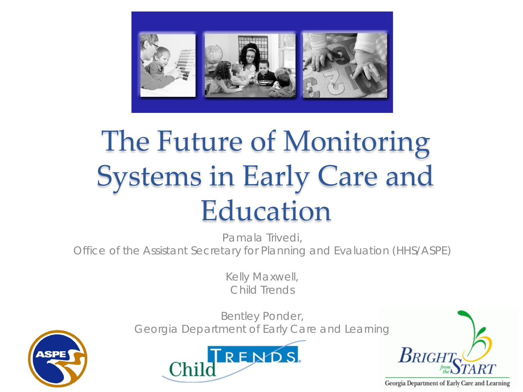

## The Future of Monitoring Systems in Early Care and Education

Pamala Trivedi, Office of the Assistant Secretary for Planning and Evaluation (HHS/ASPE)

> Kelly Maxwell, Child Trends



Bentley Ponder, Georgia Department of Early Care and Learning





Georgia Department of Early Care and Learning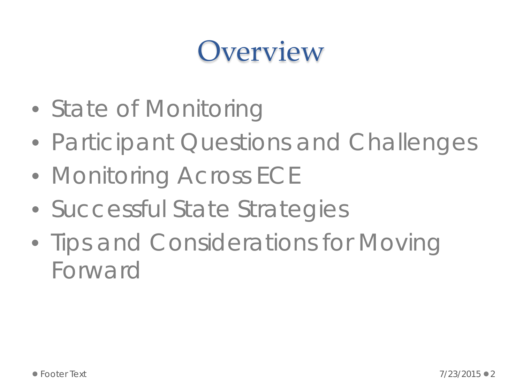### **Overview**

- State of Monitoring
- Participant Questions and Challenges
- Monitoring Across ECE
- Successful State Strategies
- Tips and Considerations for Moving Forward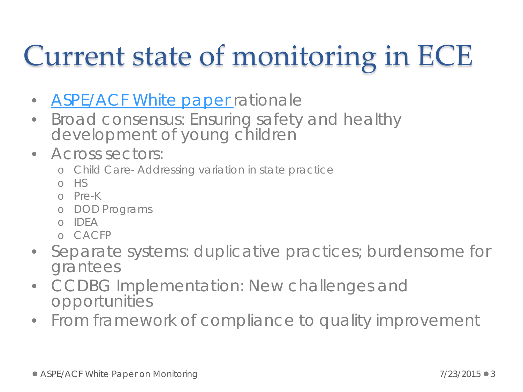# Current state of monitoring in ECE

- **[ASPE/ACF White paper](http://aspe.hhs.gov/hsp/15/ece_monitoring/rpt_ece_monitoring.cfm) rationale**
- Broad consensus: Ensuring safety and healthy development of young children
- Across sectors:
	- o Child Care- Addressing variation in state practice
	- o HS
	- o Pre-K
	- o DOD Programs
	- o IDEA
	- o CACFP
- Separate systems: duplicative practices; burdensome for grantees
- CCDBG Implementation: New challenges and opportunities
- From framework of compliance to quality improvement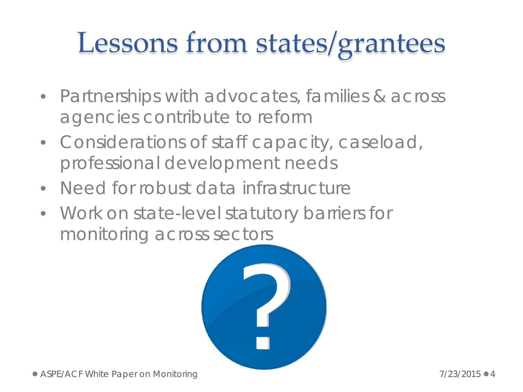## Lessons from states/grantees

- Partnerships with advocates, families & across agencies contribute to reform
- Considerations of staff capacity, caseload, professional development needs
- Need for robust data infrastructure
- Work on state-level statutory barriers for monitoring across sectors

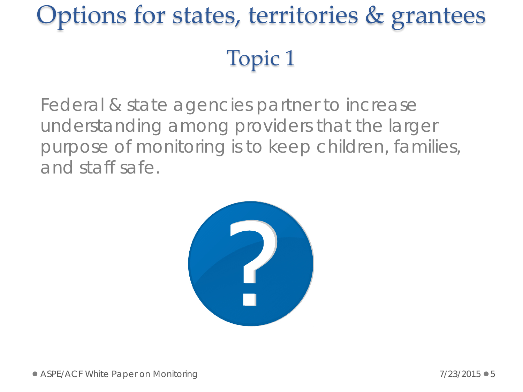## Options for states, territories & grantees Topic 1

Federal & state agencies partner to increase understanding among providers that the larger purpose of monitoring is to keep children, families, and staff safe.

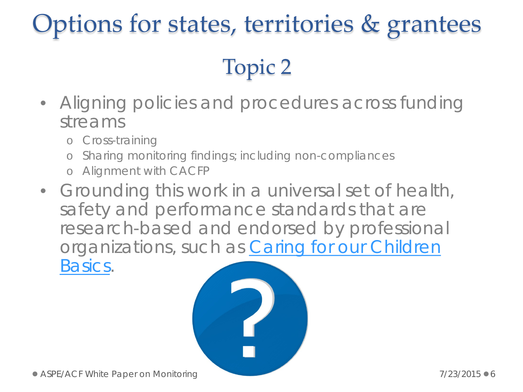### Options for states, territories & grantees

#### Topic 2

- Aligning policies and procedures across funding streams
	- o Cross-training
	- o Sharing monitoring findings; including non-compliances
	- o Alignment with CACFP
- Grounding this work in a universal set of health, safety and performance standards that are research-based and endorsed by professional organizations, such as *[Caring for our Children](http://www.acf.hhs.gov/programs/ecd/caring-for-our-children-basics)  [Basics](http://www.acf.hhs.gov/programs/ecd/caring-for-our-children-basics).*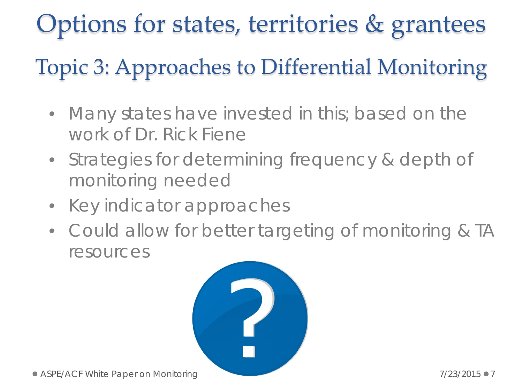### Options for states, territories & grantees

#### Topic 3: Approaches to Differential Monitoring

- Many states have invested in this; based on the work of Dr. Rick Fiene
- Strategies for determining frequency & depth of monitoring needed
- Key indicator approaches
- Could allow for better targeting of monitoring & TA resources

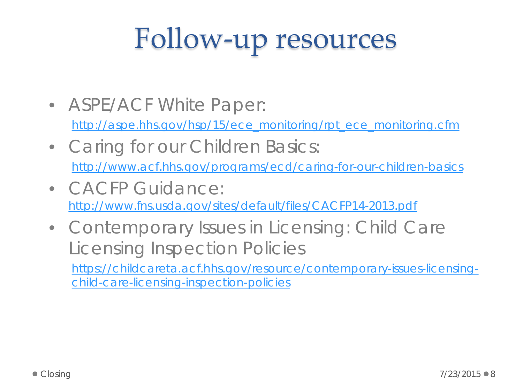# Follow-up resources

• ASPE/ACF White Paper:

[http://aspe.hhs.gov/hsp/15/ece\\_monitoring/rpt\\_ece\\_monitoring.cfm](http://aspe.hhs.gov/hsp/15/ece_monitoring/rpt_ece_monitoring.cfm)

- Caring for our Children Basics: <http://www.acf.hhs.gov/programs/ecd/caring-for-our-children-basics>
- CACFP Guidance: <http://www.fns.usda.gov/sites/default/files/CACFP14-2013.pdf>
- Contemporary Issues in Licensing: Child Care Licensing Inspection Policies [https://childcareta.acf.hhs.gov/resource/contemporary-issues-licensing](https://childcareta.acf.hhs.gov/resource/contemporary-issues-licensing-child-care-licensing-inspection-policies)[child-care-licensing-inspection-policies](https://childcareta.acf.hhs.gov/resource/contemporary-issues-licensing-child-care-licensing-inspection-policies)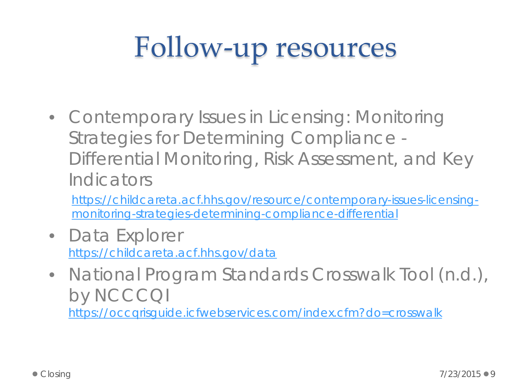# Follow-up resources

• Contemporary Issues in Licensing: Monitoring Strategies for Determining Compliance - Differential Monitoring, Risk Assessment, and Key Indicators

[https://childcareta.acf.hhs.gov/resource/contemporary-issues-licensing](https://childcareta.acf.hhs.gov/resource/contemporary-issues-licensing-monitoring-strategies-determining-compliance-differential)[monitoring-strategies-determining-compliance-differential](https://childcareta.acf.hhs.gov/resource/contemporary-issues-licensing-monitoring-strategies-determining-compliance-differential) 

- Data Explorer <https://childcareta.acf.hhs.gov/data>
- National Program Standards Crosswalk Tool (n.d.), by NCCCQI <https://occqrisguide.icfwebservices.com/index.cfm?do=crosswalk>